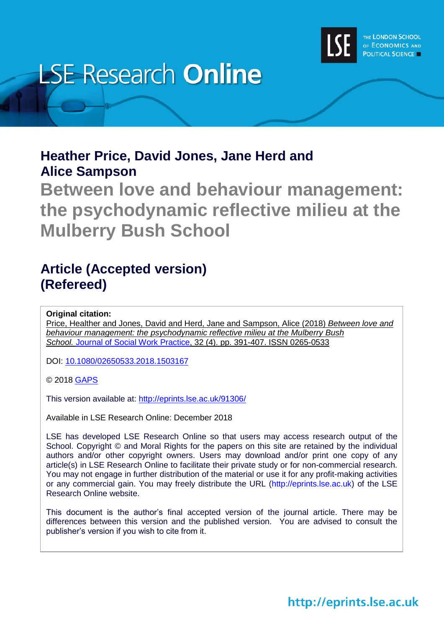

# **LSE Research Online**

### **Heather Price, David Jones, Jane Herd and Alice Sampson**

**Between love and behaviour management: the psychodynamic reflective milieu at the Mulberry Bush School**

## **Article (Accepted version) (Refereed)**

**Original citation:**

Price, Healther and Jones, David and Herd, Jane and Sampson, Alice (2018) *Between love and behaviour management: the psychodynamic reflective milieu at the Mulberry Bush School.* [Journal of Social Work Practice,](https://www.tandfonline.com/toc/cjsw20/current) 32 (4). pp. 391-407. ISSN 0265-0533

DOI: [10.1080/02650533.2018.1503167](http://doi.org/10.1080/02650533.2018.1503167)

© 2018 [GAPS](https://www.gaps.org.uk/)

This version available at:<http://eprints.lse.ac.uk/91306/>

Available in LSE Research Online: December 2018

LSE has developed LSE Research Online so that users may access research output of the School. Copyright © and Moral Rights for the papers on this site are retained by the individual authors and/or other copyright owners. Users may download and/or print one copy of any article(s) in LSE Research Online to facilitate their private study or for non-commercial research. You may not engage in further distribution of the material or use it for any profit-making activities or any commercial gain. You may freely distribute the URL (http://eprints.lse.ac.uk) of the LSE Research Online website.

This document is the author's final accepted version of the journal article. There may be differences between this version and the published version. You are advised to consult the publisher's version if you wish to cite from it.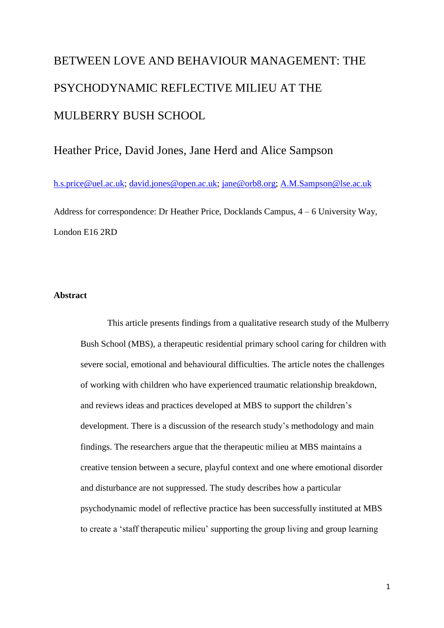## BETWEEN LOVE AND BEHAVIOUR MANAGEMENT: THE PSYCHODYNAMIC REFLECTIVE MILIEU AT THE MULBERRY BUSH SCHOOL

#### Heather Price, David Jones, Jane Herd and Alice Sampson

[h.s.price@uel.ac.uk;](mailto:h.s.price@uel.ac.uk) [david.jones@open.ac.uk;](mailto:david.jones@open.ac.uk) [jane@orb8.org;](mailto:jane@orb8.org) [A.M.Sampson@lse.ac.uk](mailto:A.M.Sampson@lse.ac.uk)

Address for correspondence: Dr Heather Price, Docklands Campus, 4 – 6 University Way, London E16 2RD

#### **Abstract**

This article presents findings from a qualitative research study of the Mulberry Bush School (MBS), a therapeutic residential primary school caring for children with severe social, emotional and behavioural difficulties. The article notes the challenges of working with children who have experienced traumatic relationship breakdown, and reviews ideas and practices developed at MBS to support the children's development. There is a discussion of the research study's methodology and main findings. The researchers argue that the therapeutic milieu at MBS maintains a creative tension between a secure, playful context and one where emotional disorder and disturbance are not suppressed. The study describes how a particular psychodynamic model of reflective practice has been successfully instituted at MBS to create a 'staff therapeutic milieu' supporting the group living and group learning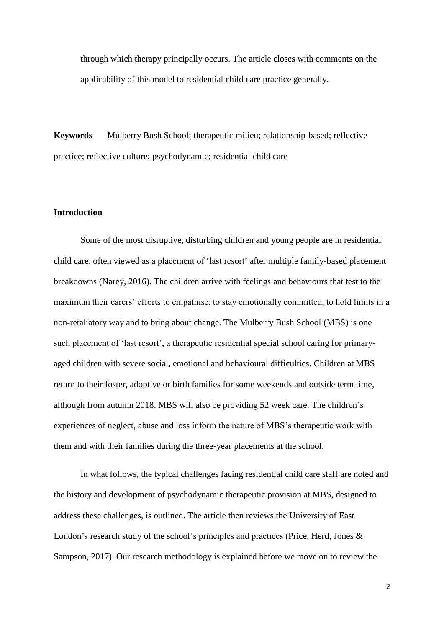through which therapy principally occurs. The article closes with comments on the applicability of this model to residential child care practice generally.

**Keywords** Mulberry Bush School; therapeutic milieu; relationship-based; reflective practice; reflective culture; psychodynamic; residential child care

#### **Introduction**

Some of the most disruptive, disturbing children and young people are in residential child care, often viewed as a placement of 'last resort' after multiple family-based placement breakdowns (Narey, 2016). The children arrive with feelings and behaviours that test to the maximum their carers' efforts to empathise, to stay emotionally committed, to hold limits in a non-retaliatory way and to bring about change. The Mulberry Bush School (MBS) is one such placement of 'last resort', a therapeutic residential special school caring for primaryaged children with severe social, emotional and behavioural difficulties. Children at MBS return to their foster, adoptive or birth families for some weekends and outside term time, although from autumn 2018, MBS will also be providing 52 week care. The children's experiences of neglect, abuse and loss inform the nature of MBS's therapeutic work with them and with their families during the three-year placements at the school.

In what follows, the typical challenges facing residential child care staff are noted and the history and development of psychodynamic therapeutic provision at MBS, designed to address these challenges, is outlined. The article then reviews the University of East London's research study of the school's principles and practices (Price, Herd, Jones & Sampson, 2017). Our research methodology is explained before we move on to review the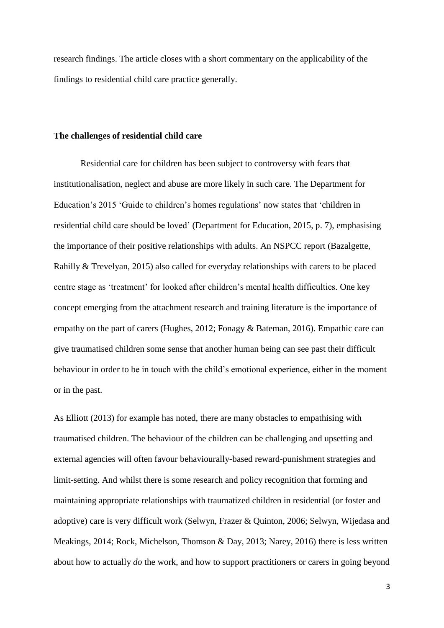research findings. The article closes with a short commentary on the applicability of the findings to residential child care practice generally.

#### **The challenges of residential child care**

Residential care for children has been subject to controversy with fears that institutionalisation, neglect and abuse are more likely in such care. The Department for Education's 2015 'Guide to children's homes regulations' now states that 'children in residential child care should be loved' (Department for Education, 2015, p. 7), emphasising the importance of their positive relationships with adults. An NSPCC report (Bazalgette, Rahilly & Trevelyan, 2015) also called for everyday relationships with carers to be placed centre stage as 'treatment' for looked after children's mental health difficulties. One key concept emerging from the attachment research and training literature is the importance of empathy on the part of carers (Hughes, 2012; Fonagy & Bateman, 2016). Empathic care can give traumatised children some sense that another human being can see past their difficult behaviour in order to be in touch with the child's emotional experience, either in the moment or in the past.

As Elliott (2013) for example has noted, there are many obstacles to empathising with traumatised children. The behaviour of the children can be challenging and upsetting and external agencies will often favour behaviourally-based reward-punishment strategies and limit-setting. And whilst there is some research and policy recognition that forming and maintaining appropriate relationships with traumatized children in residential (or foster and adoptive) care is very difficult work (Selwyn, Frazer & Quinton, 2006; Selwyn, Wijedasa and Meakings, 2014; Rock, Michelson, Thomson & Day, 2013; Narey, 2016) there is less written about how to actually *do* the work, and how to support practitioners or carers in going beyond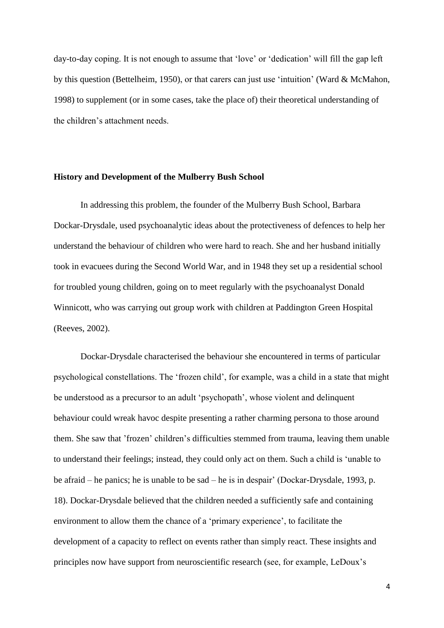day-to-day coping. It is not enough to assume that 'love' or 'dedication' will fill the gap left by this question (Bettelheim, 1950), or that carers can just use 'intuition' (Ward & McMahon, 1998) to supplement (or in some cases, take the place of) their theoretical understanding of the children's attachment needs.

#### **History and Development of the Mulberry Bush School**

In addressing this problem, the founder of the Mulberry Bush School, Barbara Dockar-Drysdale, used psychoanalytic ideas about the protectiveness of defences to help her understand the behaviour of children who were hard to reach. She and her husband initially took in evacuees during the Second World War, and in 1948 they set up a residential school for troubled young children, going on to meet regularly with the psychoanalyst Donald Winnicott, who was carrying out group work with children at Paddington Green Hospital (Reeves, 2002).

Dockar-Drysdale characterised the behaviour she encountered in terms of particular psychological constellations. The 'frozen child', for example, was a child in a state that might be understood as a precursor to an adult 'psychopath', whose violent and delinquent behaviour could wreak havoc despite presenting a rather charming persona to those around them. She saw that 'frozen' children's difficulties stemmed from trauma, leaving them unable to understand their feelings; instead, they could only act on them. Such a child is 'unable to be afraid – he panics; he is unable to be sad – he is in despair' (Dockar-Drysdale, 1993, p. 18). Dockar-Drysdale believed that the children needed a sufficiently safe and containing environment to allow them the chance of a 'primary experience', to facilitate the development of a capacity to reflect on events rather than simply react. These insights and principles now have support from neuroscientific research (see, for example, LeDoux's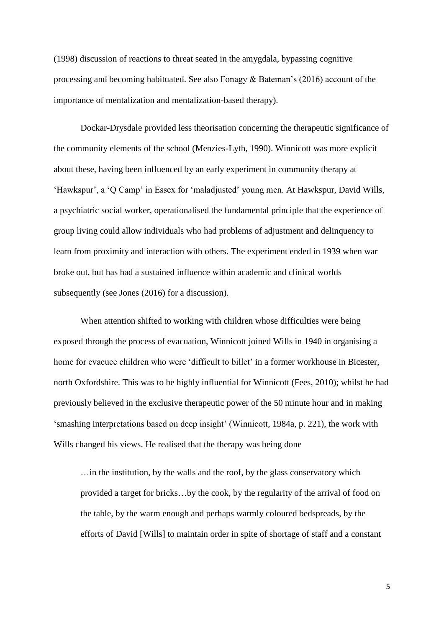(1998) discussion of reactions to threat seated in the amygdala, bypassing cognitive processing and becoming habituated. See also Fonagy  $\&$  Bateman's (2016) account of the importance of mentalization and mentalization-based therapy).

Dockar-Drysdale provided less theorisation concerning the therapeutic significance of the community elements of the school (Menzies-Lyth, 1990). Winnicott was more explicit about these, having been influenced by an early experiment in community therapy at 'Hawkspur', a 'Q Camp' in Essex for 'maladjusted' young men. At Hawkspur, David Wills, a psychiatric social worker, operationalised the fundamental principle that the experience of group living could allow individuals who had problems of adjustment and delinquency to learn from proximity and interaction with others. The experiment ended in 1939 when war broke out, but has had a sustained influence within academic and clinical worlds subsequently (see Jones (2016) for a discussion).

When attention shifted to working with children whose difficulties were being exposed through the process of evacuation, Winnicott joined Wills in 1940 in organising a home for evacuee children who were 'difficult to billet' in a former workhouse in Bicester, north Oxfordshire. This was to be highly influential for Winnicott (Fees, 2010); whilst he had previously believed in the exclusive therapeutic power of the 50 minute hour and in making 'smashing interpretations based on deep insight' (Winnicott, 1984a, p. 221), the work with Wills changed his views. He realised that the therapy was being done

…in the institution, by the walls and the roof, by the glass conservatory which provided a target for bricks…by the cook, by the regularity of the arrival of food on the table, by the warm enough and perhaps warmly coloured bedspreads, by the efforts of David [Wills] to maintain order in spite of shortage of staff and a constant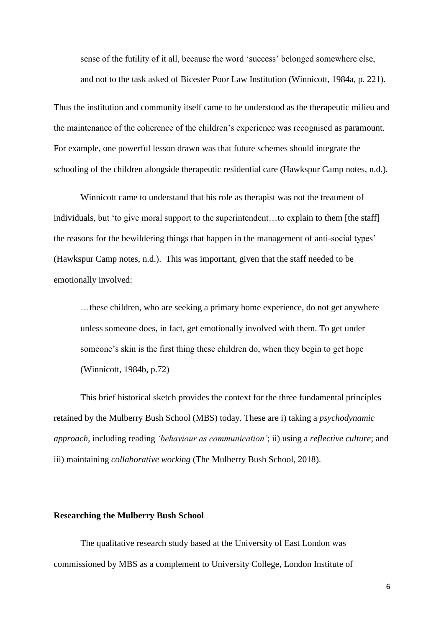sense of the futility of it all, because the word 'success' belonged somewhere else, and not to the task asked of Bicester Poor Law Institution (Winnicott, 1984a, p. 221).

Thus the institution and community itself came to be understood as the therapeutic milieu and the maintenance of the coherence of the children's experience was recognised as paramount. For example, one powerful lesson drawn was that future schemes should integrate the schooling of the children alongside therapeutic residential care (Hawkspur Camp notes, n.d.).

Winnicott came to understand that his role as therapist was not the treatment of individuals, but 'to give moral support to the superintendent…to explain to them [the staff] the reasons for the bewildering things that happen in the management of anti-social types' (Hawkspur Camp notes, n.d.). This was important, given that the staff needed to be emotionally involved:

…these children, who are seeking a primary home experience, do not get anywhere unless someone does, in fact, get emotionally involved with them. To get under someone's skin is the first thing these children do, when they begin to get hope (Winnicott, 1984b, p.72)

This brief historical sketch provides the context for the three fundamental principles retained by the Mulberry Bush School (MBS) today. These are i) taking a *psychodynamic approach,* including reading *'behaviour as communication'*; ii) using a *reflective culture*; and iii) maintaining *collaborative working* (The Mulberry Bush School, 2018).

#### **Researching the Mulberry Bush School**

The qualitative research study based at the University of East London was commissioned by MBS as a complement to University College, London Institute of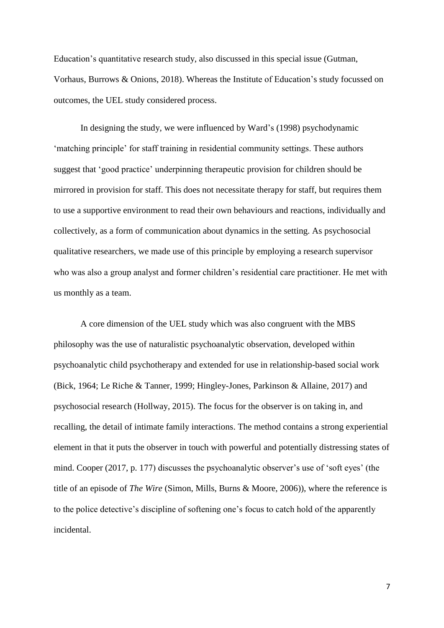Education's quantitative research study, also discussed in this special issue (Gutman, Vorhaus, Burrows & Onions, 2018). Whereas the Institute of Education's study focussed on outcomes, the UEL study considered process.

In designing the study, we were influenced by Ward's (1998) psychodynamic 'matching principle' for staff training in residential community settings. These authors suggest that 'good practice' underpinning therapeutic provision for children should be mirrored in provision for staff. This does not necessitate therapy for staff, but requires them to use a supportive environment to read their own behaviours and reactions, individually and collectively, as a form of communication about dynamics in the setting. As psychosocial qualitative researchers, we made use of this principle by employing a research supervisor who was also a group analyst and former children's residential care practitioner. He met with us monthly as a team.

A core dimension of the UEL study which was also congruent with the MBS philosophy was the use of naturalistic psychoanalytic observation, developed within psychoanalytic child psychotherapy and extended for use in relationship-based social work (Bick, 1964; Le Riche & Tanner, 1999; Hingley-Jones, Parkinson & Allaine, 2017) and psychosocial research (Hollway, 2015). The focus for the observer is on taking in, and recalling, the detail of intimate family interactions. The method contains a strong experiential element in that it puts the observer in touch with powerful and potentially distressing states of mind. Cooper (2017, p. 177) discusses the psychoanalytic observer's use of 'soft eyes' (the title of an episode of *The Wire* (Simon, Mills, Burns & Moore, 2006)), where the reference is to the police detective's discipline of softening one's focus to catch hold of the apparently incidental.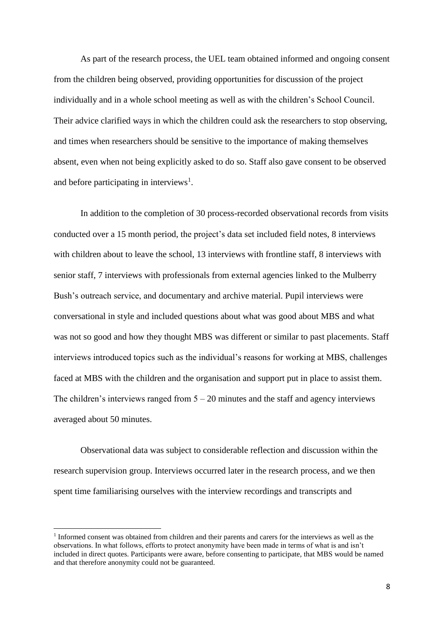As part of the research process, the UEL team obtained informed and ongoing consent from the children being observed, providing opportunities for discussion of the project individually and in a whole school meeting as well as with the children's School Council. Their advice clarified ways in which the children could ask the researchers to stop observing, and times when researchers should be sensitive to the importance of making themselves absent, even when not being explicitly asked to do so. Staff also gave consent to be observed and before participating in interviews<sup>1</sup>.

In addition to the completion of 30 process-recorded observational records from visits conducted over a 15 month period, the project's data set included field notes, 8 interviews with children about to leave the school, 13 interviews with frontline staff, 8 interviews with senior staff, 7 interviews with professionals from external agencies linked to the Mulberry Bush's outreach service, and documentary and archive material. Pupil interviews were conversational in style and included questions about what was good about MBS and what was not so good and how they thought MBS was different or similar to past placements. Staff interviews introduced topics such as the individual's reasons for working at MBS, challenges faced at MBS with the children and the organisation and support put in place to assist them. The children's interviews ranged from  $5 - 20$  minutes and the staff and agency interviews averaged about 50 minutes.

Observational data was subject to considerable reflection and discussion within the research supervision group. Interviews occurred later in the research process, and we then spent time familiarising ourselves with the interview recordings and transcripts and

**.** 

<sup>1</sup> Informed consent was obtained from children and their parents and carers for the interviews as well as the observations. In what follows, efforts to protect anonymity have been made in terms of what is and isn't included in direct quotes. Participants were aware, before consenting to participate, that MBS would be named and that therefore anonymity could not be guaranteed.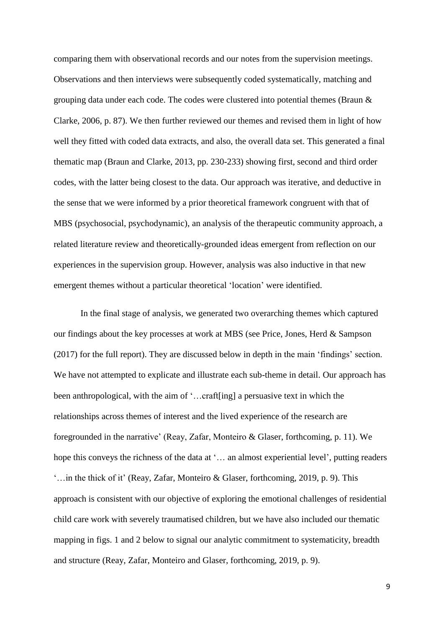comparing them with observational records and our notes from the supervision meetings. Observations and then interviews were subsequently coded systematically, matching and grouping data under each code. The codes were clustered into potential themes (Braun & Clarke, 2006, p. 87). We then further reviewed our themes and revised them in light of how well they fitted with coded data extracts, and also, the overall data set. This generated a final thematic map (Braun and Clarke, 2013, pp. 230-233) showing first, second and third order codes, with the latter being closest to the data. Our approach was iterative, and deductive in the sense that we were informed by a prior theoretical framework congruent with that of MBS (psychosocial, psychodynamic), an analysis of the therapeutic community approach, a related literature review and theoretically-grounded ideas emergent from reflection on our experiences in the supervision group. However, analysis was also inductive in that new emergent themes without a particular theoretical 'location' were identified.

In the final stage of analysis, we generated two overarching themes which captured our findings about the key processes at work at MBS (see Price, Jones, Herd & Sampson (2017) for the full report). They are discussed below in depth in the main 'findings' section. We have not attempted to explicate and illustrate each sub-theme in detail. Our approach has been anthropological, with the aim of '…craft[ing] a persuasive text in which the relationships across themes of interest and the lived experience of the research are foregrounded in the narrative' (Reay, Zafar, Monteiro & Glaser, forthcoming, p. 11). We hope this conveys the richness of the data at '… an almost experiential level', putting readers '…in the thick of it' (Reay, Zafar, Monteiro & Glaser, forthcoming, 2019, p. 9). This approach is consistent with our objective of exploring the emotional challenges of residential child care work with severely traumatised children, but we have also included our thematic mapping in figs. 1 and 2 below to signal our analytic commitment to systematicity, breadth and structure (Reay, Zafar, Monteiro and Glaser, forthcoming, 2019, p. 9).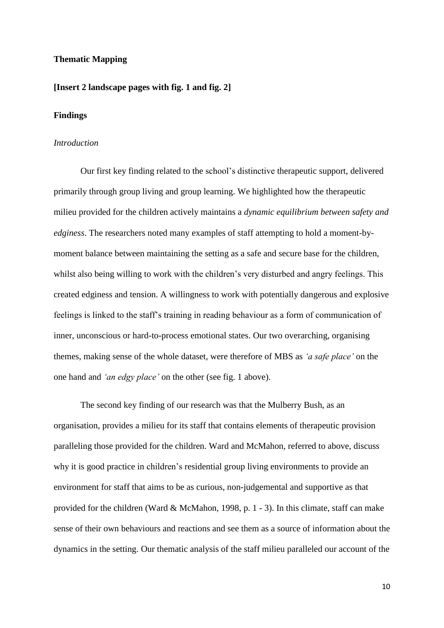#### **Thematic Mapping**

#### **[Insert 2 landscape pages with fig. 1 and fig. 2]**

#### **Findings**

#### *Introduction*

Our first key finding related to the school's distinctive therapeutic support, delivered primarily through group living and group learning. We highlighted how the therapeutic milieu provided for the children actively maintains a *dynamic equilibrium between safety and edginess*. The researchers noted many examples of staff attempting to hold a moment-bymoment balance between maintaining the setting as a safe and secure base for the children, whilst also being willing to work with the children's very disturbed and angry feelings. This created edginess and tension. A willingness to work with potentially dangerous and explosive feelings is linked to the staff's training in reading behaviour as a form of communication of inner, unconscious or hard-to-process emotional states. Our two overarching, organising themes, making sense of the whole dataset, were therefore of MBS as *'a safe place'* on the one hand and *'an edgy place'* on the other (see fig. 1 above).

The second key finding of our research was that the Mulberry Bush, as an organisation, provides a milieu for its staff that contains elements of therapeutic provision paralleling those provided for the children. Ward and McMahon, referred to above, discuss why it is good practice in children's residential group living environments to provide an environment for staff that aims to be as curious, non-judgemental and supportive as that provided for the children (Ward & McMahon, 1998, p. 1 - 3). In this climate, staff can make sense of their own behaviours and reactions and see them as a source of information about the dynamics in the setting. Our thematic analysis of the staff milieu paralleled our account of the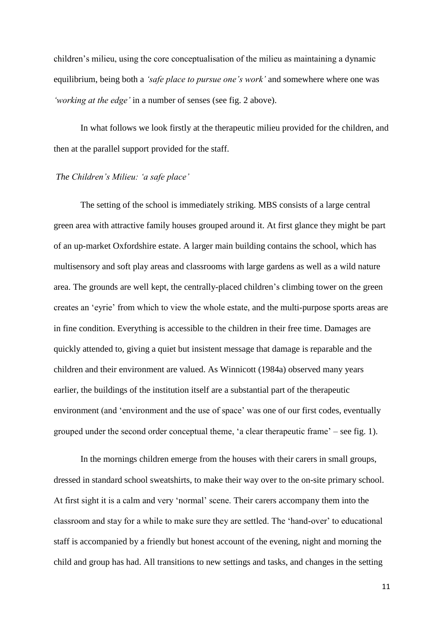children's milieu, using the core conceptualisation of the milieu as maintaining a dynamic equilibrium, being both a *'safe place to pursue one's work'* and somewhere where one was *'working at the edge'* in a number of senses (see fig. 2 above).

In what follows we look firstly at the therapeutic milieu provided for the children, and then at the parallel support provided for the staff.

#### *The Children's Milieu: 'a safe place'*

The setting of the school is immediately striking. MBS consists of a large central green area with attractive family houses grouped around it. At first glance they might be part of an up-market Oxfordshire estate. A larger main building contains the school, which has multisensory and soft play areas and classrooms with large gardens as well as a wild nature area. The grounds are well kept, the centrally-placed children's climbing tower on the green creates an 'eyrie' from which to view the whole estate, and the multi-purpose sports areas are in fine condition. Everything is accessible to the children in their free time. Damages are quickly attended to, giving a quiet but insistent message that damage is reparable and the children and their environment are valued. As Winnicott (1984a) observed many years earlier, the buildings of the institution itself are a substantial part of the therapeutic environment (and 'environment and the use of space' was one of our first codes, eventually grouped under the second order conceptual theme, 'a clear therapeutic frame' – see fig. 1).

In the mornings children emerge from the houses with their carers in small groups, dressed in standard school sweatshirts, to make their way over to the on-site primary school. At first sight it is a calm and very 'normal' scene. Their carers accompany them into the classroom and stay for a while to make sure they are settled. The 'hand-over' to educational staff is accompanied by a friendly but honest account of the evening, night and morning the child and group has had. All transitions to new settings and tasks, and changes in the setting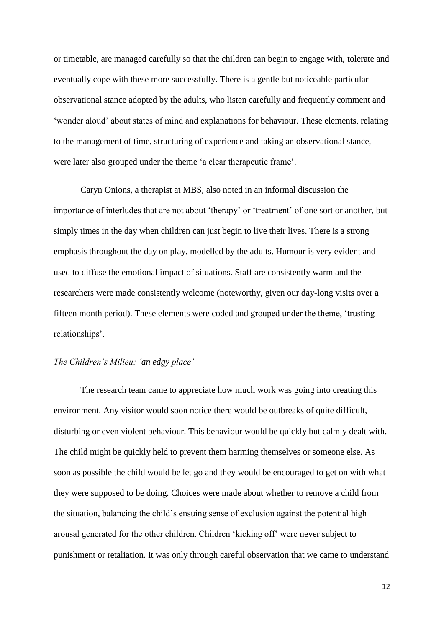or timetable, are managed carefully so that the children can begin to engage with, tolerate and eventually cope with these more successfully. There is a gentle but noticeable particular observational stance adopted by the adults, who listen carefully and frequently comment and 'wonder aloud' about states of mind and explanations for behaviour. These elements, relating to the management of time, structuring of experience and taking an observational stance, were later also grouped under the theme 'a clear therapeutic frame'.

Caryn Onions, a therapist at MBS, also noted in an informal discussion the importance of interludes that are not about 'therapy' or 'treatment' of one sort or another, but simply times in the day when children can just begin to live their lives. There is a strong emphasis throughout the day on play, modelled by the adults. Humour is very evident and used to diffuse the emotional impact of situations. Staff are consistently warm and the researchers were made consistently welcome (noteworthy, given our day-long visits over a fifteen month period). These elements were coded and grouped under the theme, 'trusting relationships'.

#### *The Children's Milieu: 'an edgy place'*

The research team came to appreciate how much work was going into creating this environment. Any visitor would soon notice there would be outbreaks of quite difficult, disturbing or even violent behaviour. This behaviour would be quickly but calmly dealt with. The child might be quickly held to prevent them harming themselves or someone else. As soon as possible the child would be let go and they would be encouraged to get on with what they were supposed to be doing. Choices were made about whether to remove a child from the situation, balancing the child's ensuing sense of exclusion against the potential high arousal generated for the other children. Children 'kicking off' were never subject to punishment or retaliation. It was only through careful observation that we came to understand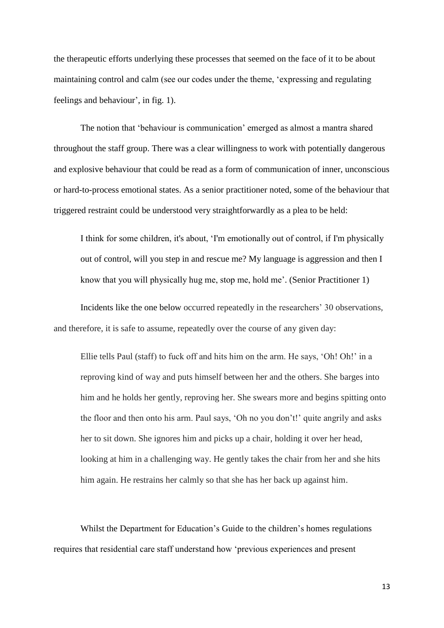the therapeutic efforts underlying these processes that seemed on the face of it to be about maintaining control and calm (see our codes under the theme, 'expressing and regulating feelings and behaviour', in fig. 1).

The notion that 'behaviour is communication' emerged as almost a mantra shared throughout the staff group. There was a clear willingness to work with potentially dangerous and explosive behaviour that could be read as a form of communication of inner, unconscious or hard-to-process emotional states. As a senior practitioner noted, some of the behaviour that triggered restraint could be understood very straightforwardly as a plea to be held:

I think for some children, it's about, 'I'm emotionally out of control, if I'm physically out of control, will you step in and rescue me? My language is aggression and then I know that you will physically hug me, stop me, hold me'. (Senior Practitioner 1)

Incidents like the one below occurred repeatedly in the researchers' 30 observations, and therefore, it is safe to assume, repeatedly over the course of any given day:

Ellie tells Paul (staff) to fuck off and hits him on the arm. He says, 'Oh! Oh!' in a reproving kind of way and puts himself between her and the others. She barges into him and he holds her gently, reproving her. She swears more and begins spitting onto the floor and then onto his arm. Paul says, 'Oh no you don't!' quite angrily and asks her to sit down. She ignores him and picks up a chair, holding it over her head, looking at him in a challenging way. He gently takes the chair from her and she hits him again. He restrains her calmly so that she has her back up against him.

Whilst the Department for Education's Guide to the children's homes regulations requires that residential care staff understand how 'previous experiences and present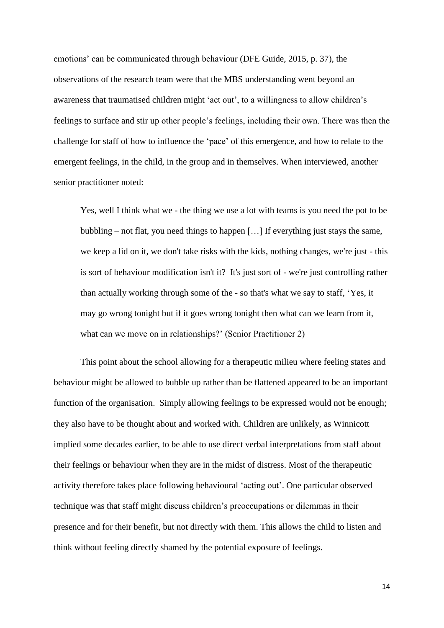emotions' can be communicated through behaviour (DFE Guide, 2015, p. 37), the observations of the research team were that the MBS understanding went beyond an awareness that traumatised children might 'act out', to a willingness to allow children's feelings to surface and stir up other people's feelings, including their own. There was then the challenge for staff of how to influence the 'pace' of this emergence, and how to relate to the emergent feelings, in the child, in the group and in themselves. When interviewed, another senior practitioner noted:

Yes, well I think what we - the thing we use a lot with teams is you need the pot to be bubbling – not flat, you need things to happen […] If everything just stays the same, we keep a lid on it, we don't take risks with the kids, nothing changes, we're just - this is sort of behaviour modification isn't it? It's just sort of - we're just controlling rather than actually working through some of the - so that's what we say to staff, 'Yes, it may go wrong tonight but if it goes wrong tonight then what can we learn from it, what can we move on in relationships?' (Senior Practitioner 2)

This point about the school allowing for a therapeutic milieu where feeling states and behaviour might be allowed to bubble up rather than be flattened appeared to be an important function of the organisation. Simply allowing feelings to be expressed would not be enough; they also have to be thought about and worked with. Children are unlikely, as Winnicott implied some decades earlier, to be able to use direct verbal interpretations from staff about their feelings or behaviour when they are in the midst of distress. Most of the therapeutic activity therefore takes place following behavioural 'acting out'. One particular observed technique was that staff might discuss children's preoccupations or dilemmas in their presence and for their benefit, but not directly with them. This allows the child to listen and think without feeling directly shamed by the potential exposure of feelings.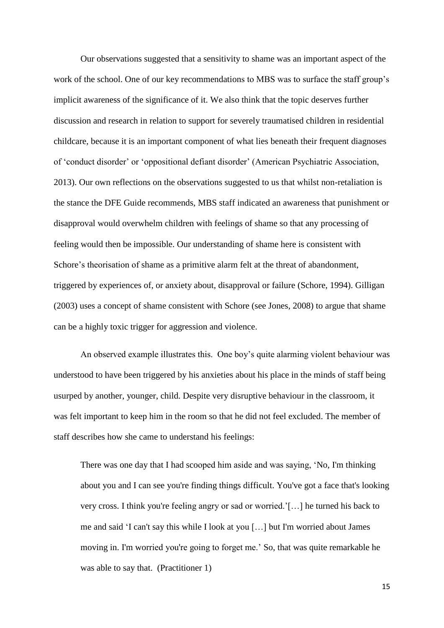Our observations suggested that a sensitivity to shame was an important aspect of the work of the school. One of our key recommendations to MBS was to surface the staff group's implicit awareness of the significance of it. We also think that the topic deserves further discussion and research in relation to support for severely traumatised children in residential childcare, because it is an important component of what lies beneath their frequent diagnoses of 'conduct disorder' or 'oppositional defiant disorder' (American Psychiatric Association, 2013). Our own reflections on the observations suggested to us that whilst non-retaliation is the stance the DFE Guide recommends, MBS staff indicated an awareness that punishment or disapproval would overwhelm children with feelings of shame so that any processing of feeling would then be impossible. Our understanding of shame here is consistent with Schore's theorisation of shame as a primitive alarm felt at the threat of abandonment, triggered by experiences of, or anxiety about, disapproval or failure (Schore, 1994). Gilligan (2003) uses a concept of shame consistent with Schore (see Jones, 2008) to argue that shame can be a highly toxic trigger for aggression and violence.

An observed example illustrates this. One boy's quite alarming violent behaviour was understood to have been triggered by his anxieties about his place in the minds of staff being usurped by another, younger, child. Despite very disruptive behaviour in the classroom, it was felt important to keep him in the room so that he did not feel excluded. The member of staff describes how she came to understand his feelings:

There was one day that I had scooped him aside and was saying, 'No, I'm thinking about you and I can see you're finding things difficult. You've got a face that's looking very cross. I think you're feeling angry or sad or worried.'[…] he turned his back to me and said 'I can't say this while I look at you […] but I'm worried about James moving in. I'm worried you're going to forget me.' So, that was quite remarkable he was able to say that. (Practitioner 1)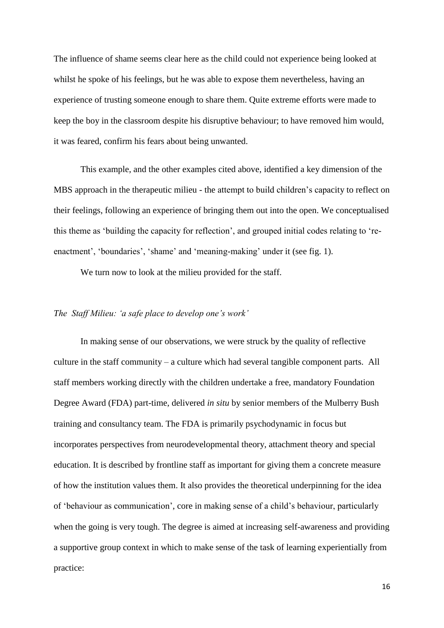The influence of shame seems clear here as the child could not experience being looked at whilst he spoke of his feelings, but he was able to expose them nevertheless, having an experience of trusting someone enough to share them. Quite extreme efforts were made to keep the boy in the classroom despite his disruptive behaviour; to have removed him would, it was feared, confirm his fears about being unwanted.

This example, and the other examples cited above, identified a key dimension of the MBS approach in the therapeutic milieu - the attempt to build children's capacity to reflect on their feelings, following an experience of bringing them out into the open. We conceptualised this theme as 'building the capacity for reflection', and grouped initial codes relating to 'reenactment', 'boundaries', 'shame' and 'meaning-making' under it (see fig. 1).

We turn now to look at the milieu provided for the staff.

#### *The Staff Milieu: 'a safe place to develop one's work'*

In making sense of our observations, we were struck by the quality of reflective culture in the staff community – a culture which had several tangible component parts.All staff members working directly with the children undertake a free, mandatory Foundation Degree Award (FDA) part-time, delivered *in situ* by senior members of the Mulberry Bush training and consultancy team. The FDA is primarily psychodynamic in focus but incorporates perspectives from neurodevelopmental theory, attachment theory and special education. It is described by frontline staff as important for giving them a concrete measure of how the institution values them. It also provides the theoretical underpinning for the idea of 'behaviour as communication', core in making sense of a child's behaviour, particularly when the going is very tough. The degree is aimed at increasing self-awareness and providing a supportive group context in which to make sense of the task of learning experientially from practice: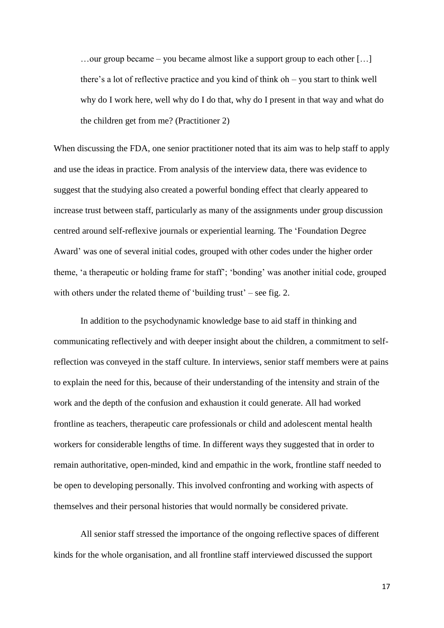…our group became – you became almost like a support group to each other […] there's a lot of reflective practice and you kind of think oh – you start to think well why do I work here, well why do I do that, why do I present in that way and what do the children get from me? (Practitioner 2)

When discussing the FDA, one senior practitioner noted that its aim was to help staff to apply and use the ideas in practice. From analysis of the interview data, there was evidence to suggest that the studying also created a powerful bonding effect that clearly appeared to increase trust between staff, particularly as many of the assignments under group discussion centred around self-reflexive journals or experiential learning. The 'Foundation Degree Award' was one of several initial codes, grouped with other codes under the higher order theme, 'a therapeutic or holding frame for staff'; 'bonding' was another initial code, grouped with others under the related theme of 'building trust' – see fig. 2.

In addition to the psychodynamic knowledge base to aid staff in thinking and communicating reflectively and with deeper insight about the children, a commitment to selfreflection was conveyed in the staff culture. In interviews, senior staff members were at pains to explain the need for this, because of their understanding of the intensity and strain of the work and the depth of the confusion and exhaustion it could generate. All had worked frontline as teachers, therapeutic care professionals or child and adolescent mental health workers for considerable lengths of time. In different ways they suggested that in order to remain authoritative, open-minded, kind and empathic in the work, frontline staff needed to be open to developing personally. This involved confronting and working with aspects of themselves and their personal histories that would normally be considered private.

All senior staff stressed the importance of the ongoing reflective spaces of different kinds for the whole organisation, and all frontline staff interviewed discussed the support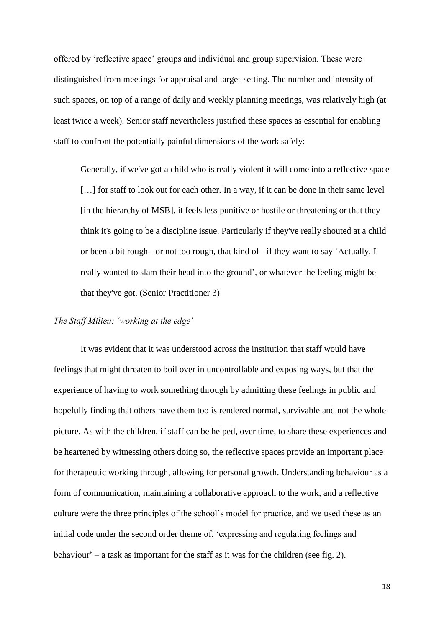offered by 'reflective space' groups and individual and group supervision. These were distinguished from meetings for appraisal and target-setting. The number and intensity of such spaces, on top of a range of daily and weekly planning meetings, was relatively high (at least twice a week). Senior staff nevertheless justified these spaces as essential for enabling staff to confront the potentially painful dimensions of the work safely:

Generally, if we've got a child who is really violent it will come into a reflective space [...] for staff to look out for each other. In a way, if it can be done in their same level [in the hierarchy of MSB], it feels less punitive or hostile or threatening or that they think it's going to be a discipline issue. Particularly if they've really shouted at a child or been a bit rough - or not too rough, that kind of - if they want to say 'Actually, I really wanted to slam their head into the ground', or whatever the feeling might be that they've got. (Senior Practitioner 3)

#### *The Staff Milieu: 'working at the edge'*

It was evident that it was understood across the institution that staff would have feelings that might threaten to boil over in uncontrollable and exposing ways, but that the experience of having to work something through by admitting these feelings in public and hopefully finding that others have them too is rendered normal, survivable and not the whole picture. As with the children, if staff can be helped, over time, to share these experiences and be heartened by witnessing others doing so, the reflective spaces provide an important place for therapeutic working through, allowing for personal growth. Understanding behaviour as a form of communication, maintaining a collaborative approach to the work, and a reflective culture were the three principles of the school's model for practice, and we used these as an initial code under the second order theme of, 'expressing and regulating feelings and behaviour' – a task as important for the staff as it was for the children (see fig. 2).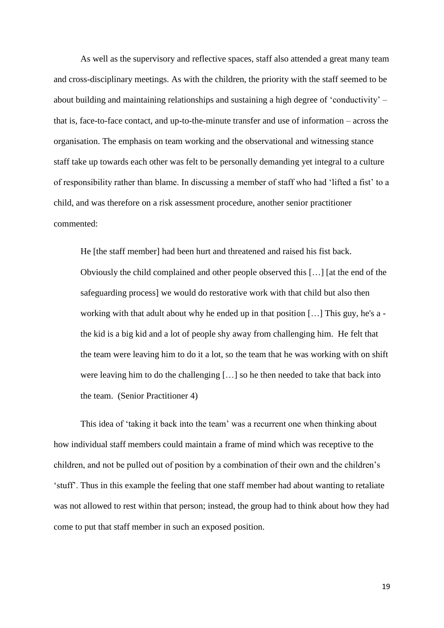As well as the supervisory and reflective spaces, staff also attended a great many team and cross-disciplinary meetings. As with the children, the priority with the staff seemed to be about building and maintaining relationships and sustaining a high degree of 'conductivity' – that is, face-to-face contact, and up-to-the-minute transfer and use of information – across the organisation. The emphasis on team working and the observational and witnessing stance staff take up towards each other was felt to be personally demanding yet integral to a culture of responsibility rather than blame. In discussing a member of staff who had 'lifted a fist' to a child, and was therefore on a risk assessment procedure, another senior practitioner commented:

He [the staff member] had been hurt and threatened and raised his fist back. Obviously the child complained and other people observed this […] [at the end of the safeguarding process] we would do restorative work with that child but also then working with that adult about why he ended up in that position […] This guy, he's a the kid is a big kid and a lot of people shy away from challenging him. He felt that the team were leaving him to do it a lot, so the team that he was working with on shift were leaving him to do the challenging […] so he then needed to take that back into the team. (Senior Practitioner 4)

This idea of 'taking it back into the team' was a recurrent one when thinking about how individual staff members could maintain a frame of mind which was receptive to the children, and not be pulled out of position by a combination of their own and the children's 'stuff'. Thus in this example the feeling that one staff member had about wanting to retaliate was not allowed to rest within that person; instead, the group had to think about how they had come to put that staff member in such an exposed position.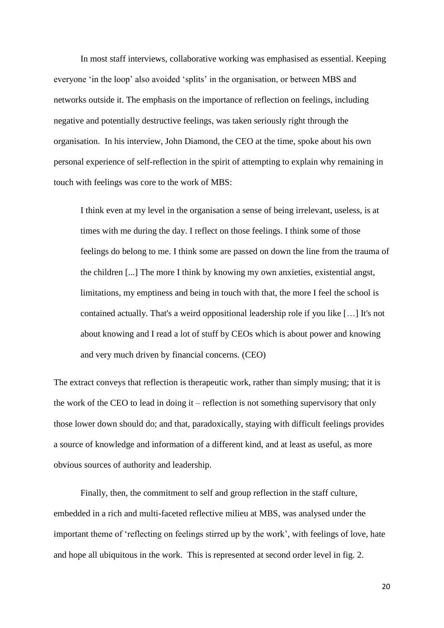In most staff interviews, collaborative working was emphasised as essential. Keeping everyone 'in the loop' also avoided 'splits' in the organisation, or between MBS and networks outside it. The emphasis on the importance of reflection on feelings, including negative and potentially destructive feelings, was taken seriously right through the organisation. In his interview, John Diamond, the CEO at the time, spoke about his own personal experience of self-reflection in the spirit of attempting to explain why remaining in touch with feelings was core to the work of MBS:

I think even at my level in the organisation a sense of being irrelevant, useless, is at times with me during the day. I reflect on those feelings. I think some of those feelings do belong to me. I think some are passed on down the line from the trauma of the children [...] The more I think by knowing my own anxieties, existential angst, limitations, my emptiness and being in touch with that, the more I feel the school is contained actually. That's a weird oppositional leadership role if you like […] It's not about knowing and I read a lot of stuff by CEOs which is about power and knowing and very much driven by financial concerns. (CEO)

The extract conveys that reflection is therapeutic work, rather than simply musing; that it is the work of the CEO to lead in doing it – reflection is not something supervisory that only those lower down should do; and that, paradoxically, staying with difficult feelings provides a source of knowledge and information of a different kind, and at least as useful, as more obvious sources of authority and leadership.

Finally, then, the commitment to self and group reflection in the staff culture, embedded in a rich and multi-faceted reflective milieu at MBS, was analysed under the important theme of 'reflecting on feelings stirred up by the work', with feelings of love, hate and hope all ubiquitous in the work. This is represented at second order level in fig. 2.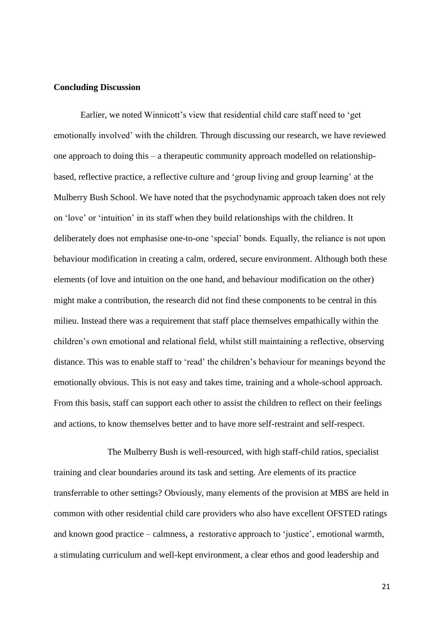#### **Concluding Discussion**

Earlier, we noted Winnicott's view that residential child care staff need to 'get emotionally involved' with the children. Through discussing our research, we have reviewed one approach to doing this – a therapeutic community approach modelled on relationshipbased, reflective practice, a reflective culture and 'group living and group learning' at the Mulberry Bush School. We have noted that the psychodynamic approach taken does not rely on 'love' or 'intuition' in its staff when they build relationships with the children. It deliberately does not emphasise one-to-one 'special' bonds. Equally, the reliance is not upon behaviour modification in creating a calm, ordered, secure environment. Although both these elements (of love and intuition on the one hand, and behaviour modification on the other) might make a contribution, the research did not find these components to be central in this milieu. Instead there was a requirement that staff place themselves empathically within the children's own emotional and relational field, whilst still maintaining a reflective, observing distance. This was to enable staff to 'read' the children's behaviour for meanings beyond the emotionally obvious. This is not easy and takes time, training and a whole-school approach. From this basis, staff can support each other to assist the children to reflect on their feelings and actions, to know themselves better and to have more self-restraint and self-respect.

The Mulberry Bush is well-resourced, with high staff-child ratios, specialist training and clear boundaries around its task and setting. Are elements of its practice transferrable to other settings? Obviously, many elements of the provision at MBS are held in common with other residential child care providers who also have excellent OFSTED ratings and known good practice – calmness, a restorative approach to 'justice', emotional warmth, a stimulating curriculum and well-kept environment, a clear ethos and good leadership and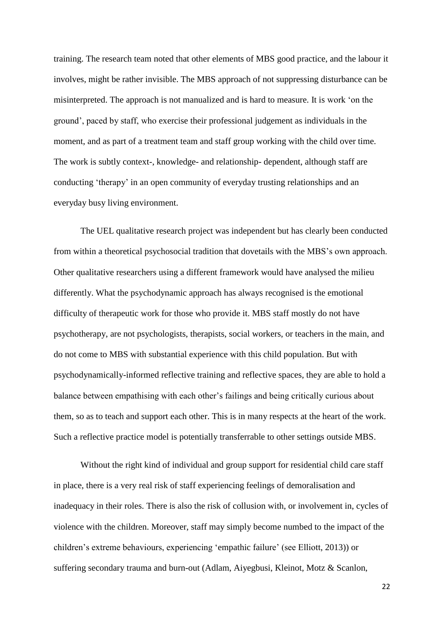training. The research team noted that other elements of MBS good practice, and the labour it involves, might be rather invisible. The MBS approach of not suppressing disturbance can be misinterpreted. The approach is not manualized and is hard to measure. It is work 'on the ground', paced by staff, who exercise their professional judgement as individuals in the moment, and as part of a treatment team and staff group working with the child over time. The work is subtly context-, knowledge- and relationship- dependent, although staff are conducting 'therapy' in an open community of everyday trusting relationships and an everyday busy living environment.

The UEL qualitative research project was independent but has clearly been conducted from within a theoretical psychosocial tradition that dovetails with the MBS's own approach. Other qualitative researchers using a different framework would have analysed the milieu differently. What the psychodynamic approach has always recognised is the emotional difficulty of therapeutic work for those who provide it. MBS staff mostly do not have psychotherapy, are not psychologists, therapists, social workers, or teachers in the main, and do not come to MBS with substantial experience with this child population. But with psychodynamically-informed reflective training and reflective spaces, they are able to hold a balance between empathising with each other's failings and being critically curious about them, so as to teach and support each other. This is in many respects at the heart of the work. Such a reflective practice model is potentially transferrable to other settings outside MBS.

Without the right kind of individual and group support for residential child care staff in place, there is a very real risk of staff experiencing feelings of demoralisation and inadequacy in their roles. There is also the risk of collusion with, or involvement in, cycles of violence with the children. Moreover, staff may simply become numbed to the impact of the children's extreme behaviours, experiencing 'empathic failure' (see Elliott, 2013)) or suffering secondary trauma and burn-out (Adlam, Aiyegbusi, Kleinot, Motz & Scanlon,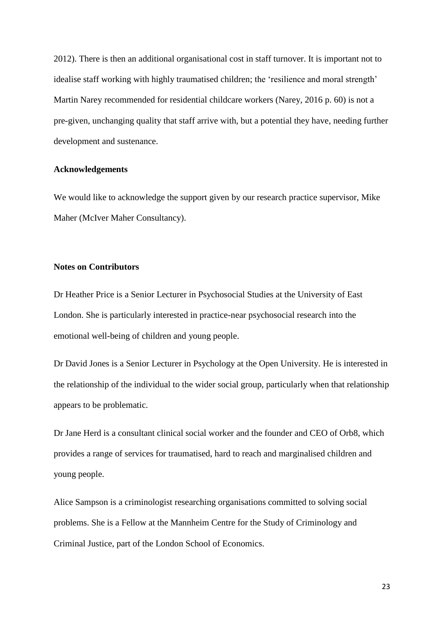2012). There is then an additional organisational cost in staff turnover. It is important not to idealise staff working with highly traumatised children; the 'resilience and moral strength' Martin Narey recommended for residential childcare workers (Narey, 2016 p. 60) is not a pre-given, unchanging quality that staff arrive with, but a potential they have, needing further development and sustenance.

#### **Acknowledgements**

We would like to acknowledge the support given by our research practice supervisor, Mike Maher (McIver Maher Consultancy).

#### **Notes on Contributors**

Dr Heather Price is a Senior Lecturer in Psychosocial Studies at the University of East London. She is particularly interested in practice-near psychosocial research into the emotional well-being of children and young people.

Dr David Jones is a Senior Lecturer in Psychology at the Open University. He is interested in the relationship of the individual to the wider social group, particularly when that relationship appears to be problematic.

Dr Jane Herd is a consultant clinical social worker and the founder and CEO of Orb8, which provides a range of services for traumatised, hard to reach and marginalised children and young people.

Alice Sampson is a criminologist researching organisations committed to solving social problems. She is a Fellow at the Mannheim Centre for the Study of Criminology and Criminal Justice, part of the London School of Economics.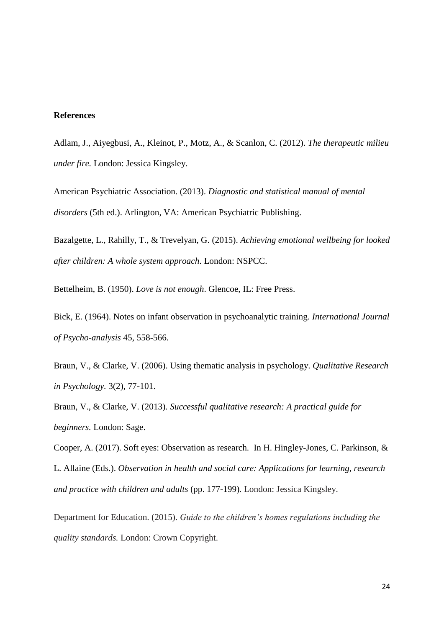#### **References**

Adlam, J., Aiyegbusi, A., Kleinot, P., Motz, A., & Scanlon, C. (2012). *The therapeutic milieu under fire.* London: Jessica Kingsley.

American Psychiatric Association. (2013). *Diagnostic and statistical manual of mental disorders* (5th ed.). Arlington, VA: American Psychiatric Publishing.

Bazalgette, L., Rahilly, T., & Trevelyan, G. (2015). *Achieving emotional wellbeing for looked after children: A whole system approach*. London: NSPCC.

Bettelheim, B. (1950). *Love is not enough*. Glencoe, IL: Free Press.

Bick, E. (1964). Notes on infant observation in psychoanalytic training. *International Journal of Psycho-analysis* 45, 558-566.

Braun, V., & Clarke, V. (2006). Using thematic analysis in psychology. *Qualitative Research in Psychology.* 3(2), 77-101.

Braun, V., & Clarke, V. (2013). *Successful qualitative research: A practical guide for beginners.* London: Sage.

Cooper, A. (2017). Soft eyes: Observation as research. In H. Hingley-Jones, C. Parkinson, & L. Allaine (Eds.). *Observation in health and social care: Applications for learning, research and practice with children and adults* (pp. 177-199)*.* London: Jessica Kingsley.

Department for Education. (2015). *Guide to the children's homes regulations including the quality standards.* London: Crown Copyright.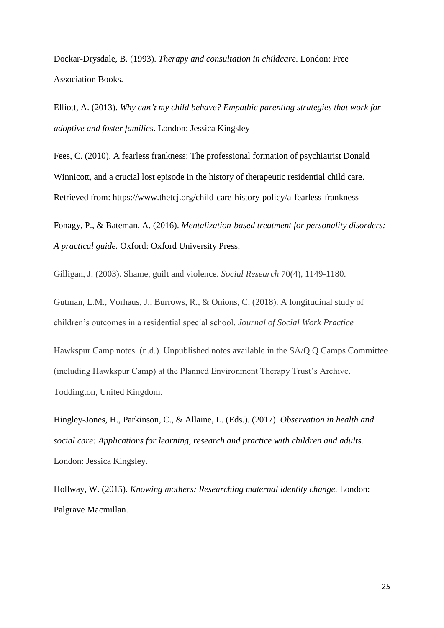Dockar-Drysdale, B. (1993). *Therapy and consultation in childcare*. London: Free Association Books.

Elliott, A. (2013). *Why can't my child behave? Empathic parenting strategies that work for adoptive and foster families*. London: Jessica Kingsley

Fees, C. (2010). A fearless frankness: The professional formation of psychiatrist Donald Winnicott, and a crucial lost episode in the history of therapeutic residential child care. Retrieved from: https://www.thetcj.org/child-care-history-policy/a-fearless-frankness

Fonagy, P., & Bateman, A. (2016). *Mentalization-based treatment for personality disorders: A practical guide.* Oxford: Oxford University Press.

Gilligan, J. (2003). Shame, guilt and violence. *Social Research* 70(4), 1149-1180.

Gutman, L.M., Vorhaus, J., Burrows, R., & Onions, C. (2018). A longitudinal study of children's outcomes in a residential special school. *Journal of Social Work Practice* 

Hawkspur Camp notes. (n.d.). Unpublished notes available in the SA/Q Q Camps Committee (including Hawkspur Camp) at the Planned Environment Therapy Trust's Archive. Toddington, United Kingdom.

Hingley-Jones, H., Parkinson, C., & Allaine, L. (Eds.). (2017). *Observation in health and social care: Applications for learning, research and practice with children and adults.*  London: Jessica Kingsley.

Hollway, W. (2015). *Knowing mothers: Researching maternal identity change.* London: Palgrave Macmillan.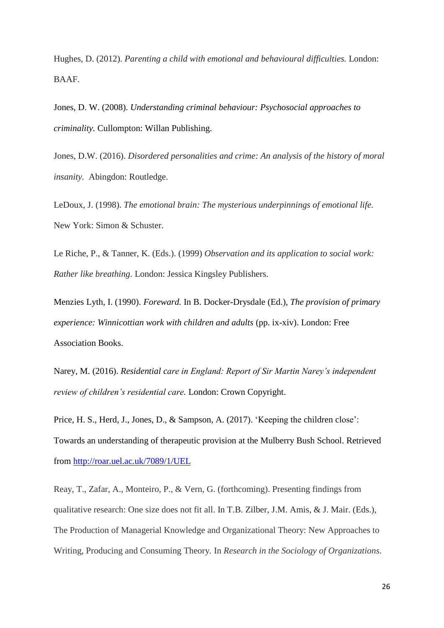Hughes, D. (2012). *Parenting a child with emotional and behavioural difficulties.* London: BAAF.

Jones, D. W. (2008). *Understanding criminal behaviour: Psychosocial approaches to criminality.* Cullompton: Willan Publishing.

Jones, D.W. (2016). *Disordered personalities and crime: An analysis of the history of moral insanity.* Abingdon: Routledge.

LeDoux, J. (1998). *The emotional brain: The mysterious underpinnings of emotional life.*  New York: Simon & Schuster.

Le Riche, P., & Tanner, K. (Eds.). (1999) *Observation and its application to social work: Rather like breathing*. London: Jessica Kingsley Publishers.

Menzies Lyth, I. (1990). *Foreward.* In B. Docker-Drysdale (Ed.), *The provision of primary experience: Winnicottian work with children and adults* (pp. ix-xiv). London: Free Association Books.

Narey, M. (2016). *Residential care in England: Report of Sir Martin Narey's independent review of children's residential care.* London: Crown Copyright.

Price, H. S., Herd, J., Jones, D., & Sampson, A. (2017). 'Keeping the children close': Towards an understanding of therapeutic provision at the Mulberry Bush School. Retrieved from<http://roar.uel.ac.uk/7089/1/UEL>

Reay, T., Zafar, A., Monteiro, P., & Vern, G. (forthcoming). Presenting findings from qualitative research: One size does not fit all. In T.B. Zilber, J.M. Amis, & J. Mair. (Eds.), The Production of Managerial Knowledge and Organizational Theory: New Approaches to Writing, Producing and Consuming Theory*.* In *Research in the Sociology of Organizations.*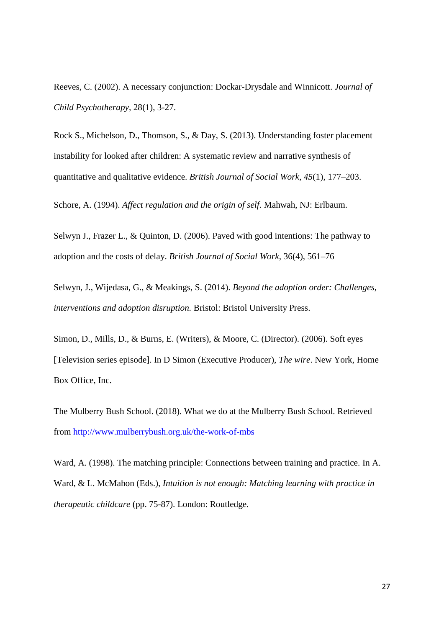Reeves, C. (2002). A necessary conjunction: Dockar-Drysdale and Winnicott. *Journal of Child Psychotherapy,* 28(1), 3-27.

Rock S., Michelson, D., Thomson, S., & Day, S. (2013). Understanding foster placement instability for looked after children: A systematic review and narrative synthesis of quantitative and qualitative evidence. *British Journal of Social Work*, *45*(1), 177–203.

Schore, A. (1994). *Affect regulation and the origin of self.* Mahwah, NJ: Erlbaum.

Selwyn J., Frazer L., & Quinton, D. (2006). Paved with good intentions: The pathway to adoption and the costs of delay. *British Journal of Social Work,* 36(4), 561–76

Selwyn, J., Wijedasa, G., & Meakings, S. (2014). *Beyond the adoption order: Challenges, interventions and adoption disruption.* Bristol: Bristol University Press.

Simon, D., Mills, D., & Burns, E. (Writers), & Moore, C. (Director). (2006). Soft eyes [Television series episode]. In D Simon (Executive Producer), *The wire*. New York, Home Box Office, Inc.

The Mulberry Bush School. (2018). What we do at the Mulberry Bush School. Retrieved from<http://www.mulberrybush.org.uk/the-work-of-mbs>

Ward, A. (1998). The matching principle: Connections between training and practice. In A. Ward, & L. McMahon (Eds.), *Intuition is not enough: Matching learning with practice in therapeutic childcare* (pp. 75-87). London: Routledge.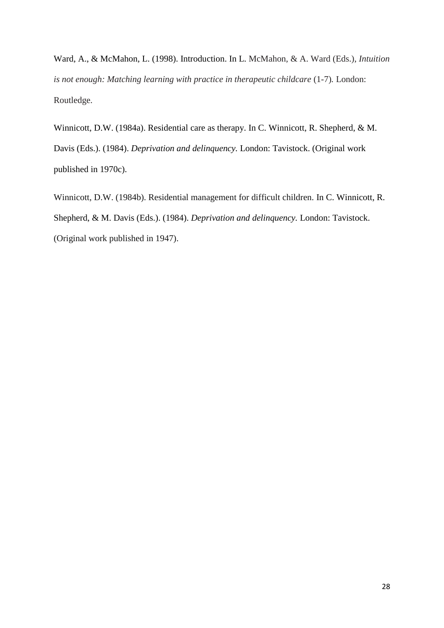Ward, A., & McMahon, L. (1998). Introduction. In L. McMahon, & A. Ward (Eds.), *Intuition is not enough: Matching learning with practice in therapeutic childcare* (1-7)*.* London: Routledge.

Winnicott, D.W. (1984a). Residential care as therapy. In C. Winnicott, R. Shepherd, & M. Davis (Eds.). (1984). *Deprivation and delinquency.* London: Tavistock. (Original work published in 1970c).

Winnicott, D.W. (1984b). Residential management for difficult children. In C. Winnicott, R. Shepherd, & M. Davis (Eds.). (1984). *Deprivation and delinquency.* London: Tavistock. (Original work published in 1947).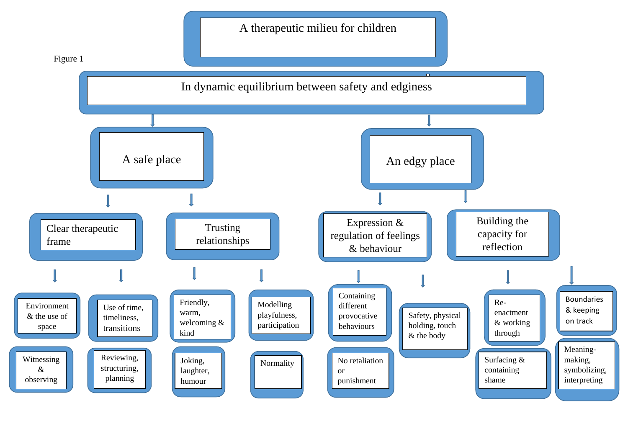